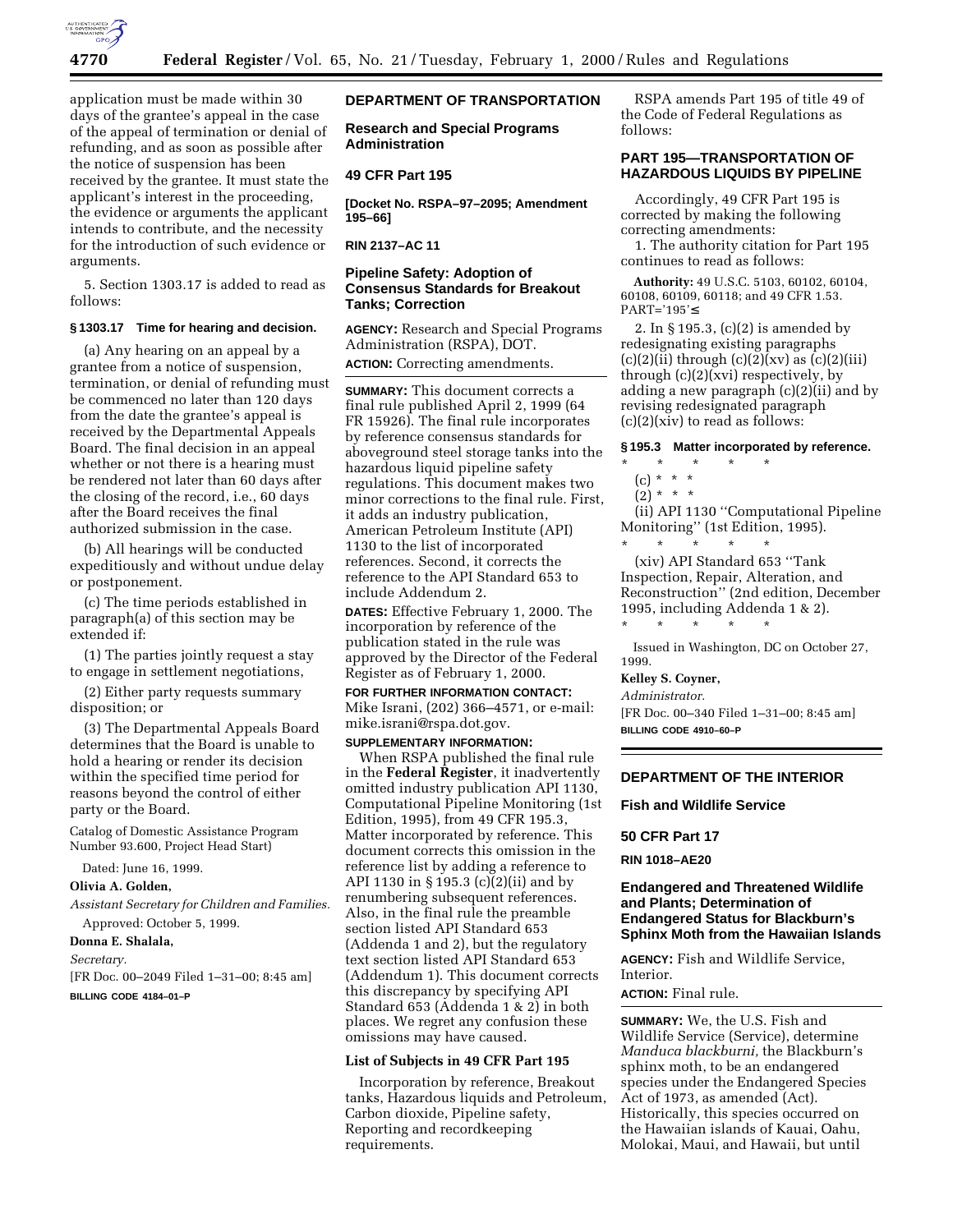

application must be made within 30 days of the grantee's appeal in the case of the appeal of termination or denial of refunding, and as soon as possible after the notice of suspension has been received by the grantee. It must state the applicant's interest in the proceeding, the evidence or arguments the applicant intends to contribute, and the necessity for the introduction of such evidence or arguments.

5. Section 1303.17 is added to read as follows:

#### **§ 1303.17 Time for hearing and decision.**

(a) Any hearing on an appeal by a grantee from a notice of suspension, termination, or denial of refunding must be commenced no later than 120 days from the date the grantee's appeal is received by the Departmental Appeals Board. The final decision in an appeal whether or not there is a hearing must be rendered not later than 60 days after the closing of the record, i.e., 60 days after the Board receives the final authorized submission in the case.

(b) All hearings will be conducted expeditiously and without undue delay or postponement.

(c) The time periods established in paragraph(a) of this section may be extended if:

(1) The parties jointly request a stay to engage in settlement negotiations,

(2) Either party requests summary disposition; or

(3) The Departmental Appeals Board determines that the Board is unable to hold a hearing or render its decision within the specified time period for reasons beyond the control of either party or the Board.

Catalog of Domestic Assistance Program Number 93.600, Project Head Start)

Dated: June 16, 1999.

**Olivia A. Golden,**

*Assistant Secretary for Children and Families.* Approved: October 5, 1999.

#### **Donna E. Shalala,**

#### *Secretary.*

[FR Doc. 00–2049 Filed 1–31–00; 8:45 am] **BILLING CODE 4184–01–P**

# **DEPARTMENT OF TRANSPORTATION**

**Research and Special Programs Administration**

### **49 CFR Part 195**

**[Docket No. RSPA–97–2095; Amendment 195–66]**

**RIN 2137–AC 11**

# **Pipeline Safety: Adoption of Consensus Standards for Breakout Tanks; Correction**

**AGENCY:** Research and Special Programs Administration (RSPA), DOT. **ACTION:** Correcting amendments.

**SUMMARY:** This document corrects a final rule published April 2, 1999 (64 FR 15926). The final rule incorporates by reference consensus standards for aboveground steel storage tanks into the hazardous liquid pipeline safety regulations. This document makes two minor corrections to the final rule. First, it adds an industry publication, American Petroleum Institute (API) 1130 to the list of incorporated references. Second, it corrects the reference to the API Standard 653 to include Addendum 2.

**DATES:** Effective February 1, 2000. The incorporation by reference of the publication stated in the rule was approved by the Director of the Federal Register as of February 1, 2000.

**FOR FURTHER INFORMATION CONTACT:**

Mike Israni, (202) 366–4571, or e-mail: mike.israni@rspa.dot.gov. **SUPPLEMENTARY INFORMATION:**

When RSPA published the final rule in the **Federal Register**, it inadvertently omitted industry publication API 1130, Computational Pipeline Monitoring (1st Edition, 1995), from 49 CFR 195.3, Matter incorporated by reference. This document corrects this omission in the reference list by adding a reference to API 1130 in § 195.3 (c)(2)(ii) and by renumbering subsequent references. Also, in the final rule the preamble section listed API Standard 653 (Addenda 1 and 2), but the regulatory text section listed API Standard 653 (Addendum 1). This document corrects this discrepancy by specifying API Standard 653 (Addenda 1 & 2) in both places. We regret any confusion these omissions may have caused.

#### **List of Subjects in 49 CFR Part 195**

Incorporation by reference, Breakout tanks, Hazardous liquids and Petroleum, Carbon dioxide, Pipeline safety, Reporting and recordkeeping requirements.

RSPA amends Part 195 of title 49 of the Code of Federal Regulations as follows:

### **PART 195—TRANSPORTATION OF HAZARDOUS LIQUIDS BY PIPELINE**

Accordingly, 49 CFR Part 195 is corrected by making the following correcting amendments:

1. The authority citation for Part 195 continues to read as follows:

**Authority:** 49 U.S.C. 5103, 60102, 60104, 60108, 60109, 60118; and 49 CFR 1.53. PART='195'≤

2. In § 195.3, (c)(2) is amended by redesignating existing paragraphs  $(c)(2)(ii)$  through  $(c)(2)(xv)$  as  $(c)(2)(iii)$ through (c)(2)(xvi) respectively, by adding a new paragraph (c)(2)(ii) and by revising redesignated paragraph  $(c)(2)(xiv)$  to read as follows:

#### **§ 195.3 Matter incorporated by reference.**

# \* \* \* \* \*

(c) \* \* \*  $(2) * * * *$ 

(ii) API 1130 ''Computational Pipeline Monitoring'' (1st Edition, 1995).

\* \* \* \* \* (xiv) API Standard 653 ''Tank Inspection, Repair, Alteration, and Reconstruction'' (2nd edition, December 1995, including Addenda 1 & 2).

Issued in Washington, DC on October 27, 1999.

### **Kelley S. Coyner,**

\* \* \* \* \*

*Administrator.*

[FR Doc. 00–340 Filed 1–31–00; 8:45 am] **BILLING CODE 4910–60–P**

### **DEPARTMENT OF THE INTERIOR**

**Fish and Wildlife Service**

### **50 CFR Part 17**

**RIN 1018–AE20**

### **Endangered and Threatened Wildlife and Plants; Determination of Endangered Status for Blackburn's Sphinx Moth from the Hawaiian Islands**

**AGENCY:** Fish and Wildlife Service, Interior.

#### **ACTION:** Final rule.

**SUMMARY:** We, the U.S. Fish and Wildlife Service (Service), determine *Manduca blackburni,* the Blackburn's sphinx moth, to be an endangered species under the Endangered Species Act of 1973, as amended (Act). Historically, this species occurred on the Hawaiian islands of Kauai, Oahu, Molokai, Maui, and Hawaii, but until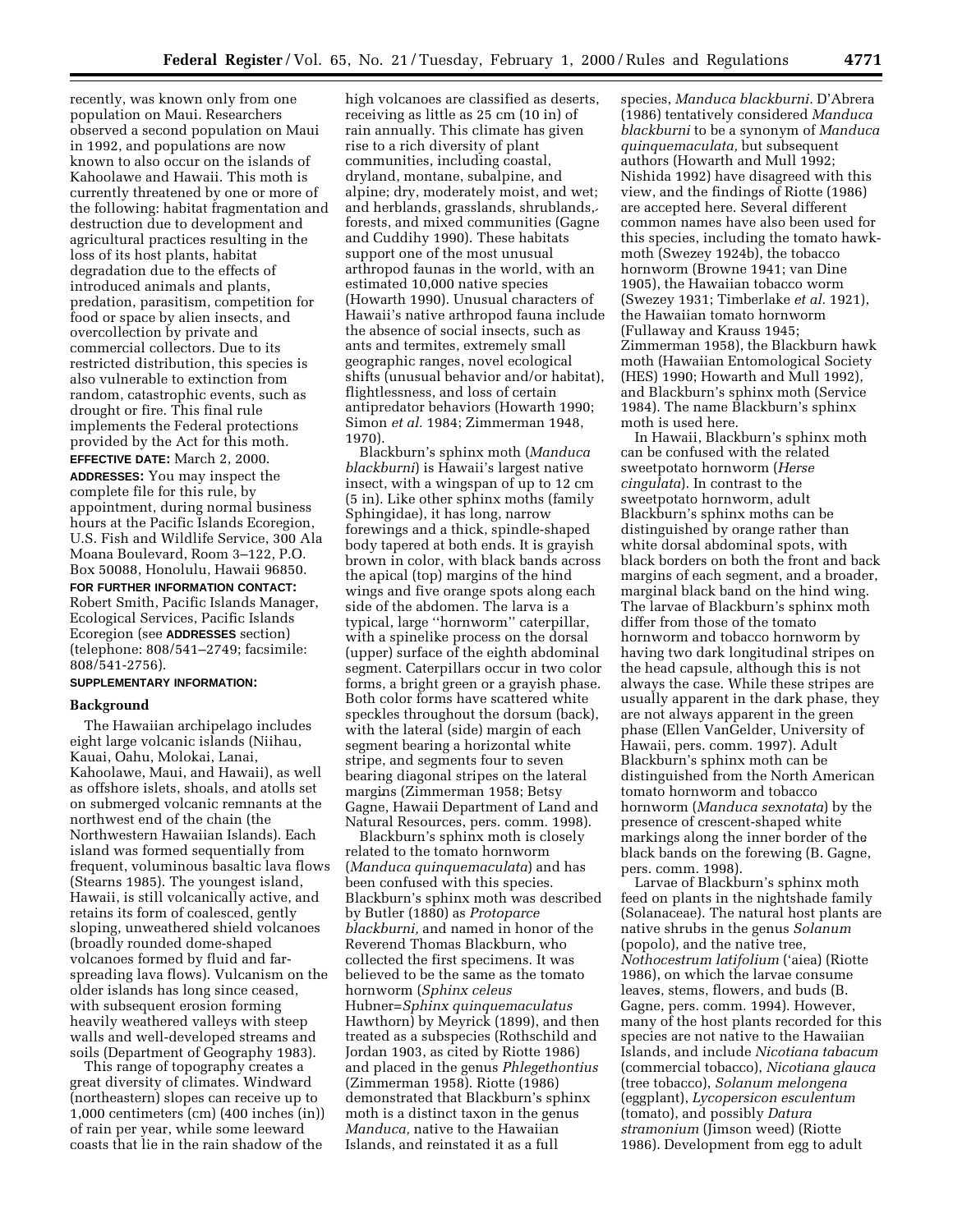recently, was known only from one population on Maui. Researchers observed a second population on Maui in 1992, and populations are now known to also occur on the islands of Kahoolawe and Hawaii. This moth is currently threatened by one or more of the following: habitat fragmentation and destruction due to development and agricultural practices resulting in the loss of its host plants, habitat degradation due to the effects of introduced animals and plants, predation, parasitism, competition for food or space by alien insects, and overcollection by private and commercial collectors. Due to its restricted distribution, this species is also vulnerable to extinction from random, catastrophic events, such as drought or fire. This final rule implements the Federal protections provided by the Act for this moth.

**EFFECTIVE DATE:** March 2, 2000. **ADDRESSES:** You may inspect the complete file for this rule, by appointment, during normal business hours at the Pacific Islands Ecoregion, U.S. Fish and Wildlife Service, 300 Ala Moana Boulevard, Room 3–122, P.O. Box 50088, Honolulu, Hawaii 96850. **FOR FURTHER INFORMATION CONTACT:**

Robert Smith, Pacific Islands Manager, Ecological Services, Pacific Islands Ecoregion (see **ADDRESSES** section) (telephone: 808/541–2749; facsimile: 808/541-2756).

# **SUPPLEMENTARY INFORMATION:**

#### **Background**

The Hawaiian archipelago includes eight large volcanic islands (Niihau, Kauai, Oahu, Molokai, Lanai, Kahoolawe, Maui, and Hawaii), as well as offshore islets, shoals, and atolls set on submerged volcanic remnants at the northwest end of the chain (the Northwestern Hawaiian Islands). Each island was formed sequentially from frequent, voluminous basaltic lava flows (Stearns 1985). The youngest island, Hawaii, is still volcanically active, and retains its form of coalesced, gently sloping, unweathered shield volcanoes (broadly rounded dome-shaped volcanoes formed by fluid and farspreading lava flows). Vulcanism on the older islands has long since ceased, with subsequent erosion forming heavily weathered valleys with steep walls and well-developed streams and soils (Department of Geography 1983).

This range of topography creates a great diversity of climates. Windward (northeastern) slopes can receive up to 1,000 centimeters (cm) (400 inches (in)) of rain per year, while some leeward coasts that lie in the rain shadow of the

high volcanoes are classified as deserts, receiving as little as 25 cm (10 in) of rain annually. This climate has given rise to a rich diversity of plant communities, including coastal, dryland, montane, subalpine, and alpine; dry, moderately moist, and wet; and herblands, grasslands, shrublands, forests, and mixed communities (Gagne´ and Cuddihy 1990). These habitats support one of the most unusual arthropod faunas in the world, with an estimated 10,000 native species (Howarth 1990). Unusual characters of Hawaii's native arthropod fauna include the absence of social insects, such as ants and termites, extremely small geographic ranges, novel ecological shifts (unusual behavior and/or habitat), flightlessness, and loss of certain antipredator behaviors (Howarth 1990; Simon *et al.* 1984; Zimmerman 1948, 1970).

Blackburn's sphinx moth (*Manduca blackburni*) is Hawaii's largest native insect, with a wingspan of up to 12 cm (5 in). Like other sphinx moths (family Sphingidae), it has long, narrow forewings and a thick, spindle-shaped body tapered at both ends. It is grayish brown in color, with black bands across the apical (top) margins of the hind wings and five orange spots along each side of the abdomen. The larva is a typical, large ''hornworm'' caterpillar, with a spinelike process on the dorsal (upper) surface of the eighth abdominal segment. Caterpillars occur in two color forms, a bright green or a grayish phase. Both color forms have scattered white speckles throughout the dorsum (back), with the lateral (side) margin of each segment bearing a horizontal white stripe, and segments four to seven bearing diagonal stripes on the lateral margins (Zimmerman 1958; Betsy margars (zmimerman 1990, Betsy<br>Gagne, Hawaii Department of Land and Natural Resources, pers. comm. 1998).

Blackburn's sphinx moth is closely related to the tomato hornworm (*Manduca quinquemaculata*) and has been confused with this species. Blackburn's sphinx moth was described by Butler (1880) as *Protoparce blackburni,* and named in honor of the Reverend Thomas Blackburn, who collected the first specimens. It was believed to be the same as the tomato hornworm (*Sphinx celeus* Hubner=*Sphinx quinquemaculatus* Hawthorn) by Meyrick (1899), and then treated as a subspecies (Rothschild and Jordan 1903, as cited by Riotte 1986) and placed in the genus *Phlegethontius* (Zimmerman 1958). Riotte (1986) demonstrated that Blackburn's sphinx moth is a distinct taxon in the genus *Manduca,* native to the Hawaiian Islands, and reinstated it as a full

species, *Manduca blackburni.* D'Abrera (1986) tentatively considered *Manduca blackburni* to be a synonym of *Manduca quinquemaculata,* but subsequent authors (Howarth and Mull 1992; Nishida 1992) have disagreed with this view, and the findings of Riotte (1986) are accepted here. Several different common names have also been used for this species, including the tomato hawkmoth (Swezey 1924b), the tobacco hornworm (Browne 1941; van Dine 1905), the Hawaiian tobacco worm (Swezey 1931; Timberlake *et al.* 1921), the Hawaiian tomato hornworm (Fullaway and Krauss 1945; Zimmerman 1958), the Blackburn hawk moth (Hawaiian Entomological Society (HES) 1990; Howarth and Mull 1992), and Blackburn's sphinx moth (Service 1984). The name Blackburn's sphinx moth is used here.

In Hawaii, Blackburn's sphinx moth can be confused with the related sweetpotato hornworm (*Herse cingulata*). In contrast to the sweetpotato hornworm, adult Blackburn's sphinx moths can be distinguished by orange rather than white dorsal abdominal spots, with black borders on both the front and back margins of each segment, and a broader, marginal black band on the hind wing. The larvae of Blackburn's sphinx moth differ from those of the tomato hornworm and tobacco hornworm by having two dark longitudinal stripes on the head capsule, although this is not always the case. While these stripes are usually apparent in the dark phase, they are not always apparent in the green phase (Ellen VanGelder, University of Hawaii, pers. comm. 1997). Adult Blackburn's sphinx moth can be distinguished from the North American tomato hornworm and tobacco hornworm (*Manduca sexnotata*) by the presence of crescent-shaped white markings along the inner border of the markings along the filmer border of the<br>black bands on the forewing (B. Gagne, pers. comm. 1998).

Larvae of Blackburn's sphinx moth feed on plants in the nightshade family (Solanaceae). The natural host plants are native shrubs in the genus *Solanum* (popolo), and the native tree, *Nothocestrum latifolium* ('aiea) (Riotte 1986), on which the larvae consume leaves, stems, flowers, and buds (B. reaves, stems, nowers, and buds (b.<br>Gagne, pers. comm. 1994). However, many of the host plants recorded for this species are not native to the Hawaiian Islands, and include *Nicotiana tabacum* (commercial tobacco), *Nicotiana glauca* (tree tobacco), *Solanum melongena* (eggplant), *Lycopersicon esculentum* (tomato), and possibly *Datura stramonium* (Jimson weed) (Riotte 1986). Development from egg to adult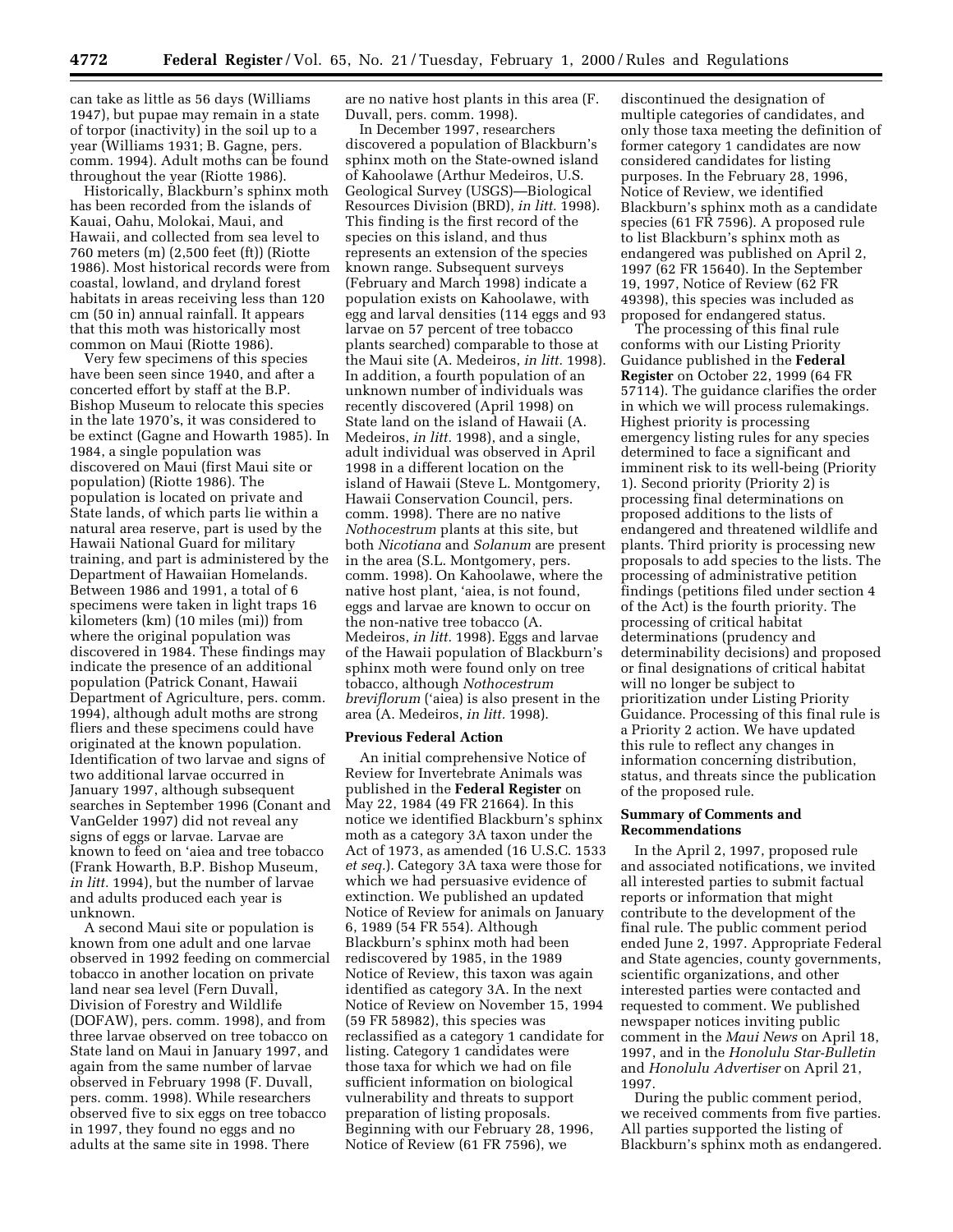can take as little as 56 days (Williams 1947), but pupae may remain in a state of torpor (inactivity) in the soil up to a or torpor (mactivity) in the sorr up to<br>year (Williams 1931; B. Gagne, pers. comm. 1994). Adult moths can be found throughout the year (Riotte 1986).

Historically, Blackburn's sphinx moth has been recorded from the islands of Kauai, Oahu, Molokai, Maui, and Hawaii, and collected from sea level to 760 meters (m) (2,500 feet (ft)) (Riotte 1986). Most historical records were from coastal, lowland, and dryland forest habitats in areas receiving less than 120 cm (50 in) annual rainfall. It appears that this moth was historically most common on Maui (Riotte 1986).

Very few specimens of this species have been seen since 1940, and after a concerted effort by staff at the B.P. Bishop Museum to relocate this species in the late 1970's, it was considered to be extinct (Gagne and Howarth 1985). In 1984, a single population was discovered on Maui (first Maui site or population) (Riotte 1986). The population is located on private and State lands, of which parts lie within a natural area reserve, part is used by the Hawaii National Guard for military training, and part is administered by the Department of Hawaiian Homelands. Between 1986 and 1991, a total of 6 specimens were taken in light traps 16 kilometers (km) (10 miles (mi)) from where the original population was discovered in 1984. These findings may indicate the presence of an additional population (Patrick Conant, Hawaii Department of Agriculture, pers. comm. 1994), although adult moths are strong fliers and these specimens could have originated at the known population. Identification of two larvae and signs of two additional larvae occurred in January 1997, although subsequent searches in September 1996 (Conant and VanGelder 1997) did not reveal any signs of eggs or larvae. Larvae are known to feed on 'aiea and tree tobacco (Frank Howarth, B.P. Bishop Museum, *in litt.* 1994), but the number of larvae and adults produced each year is unknown.

A second Maui site or population is known from one adult and one larvae observed in 1992 feeding on commercial tobacco in another location on private land near sea level (Fern Duvall, Division of Forestry and Wildlife (DOFAW), pers. comm. 1998), and from three larvae observed on tree tobacco on State land on Maui in January 1997, and again from the same number of larvae observed in February 1998 (F. Duvall, pers. comm. 1998). While researchers observed five to six eggs on tree tobacco in 1997, they found no eggs and no adults at the same site in 1998. There

are no native host plants in this area (F. Duvall, pers. comm. 1998).

In December 1997, researchers discovered a population of Blackburn's sphinx moth on the State-owned island of Kahoolawe (Arthur Medeiros, U.S. Geological Survey (USGS)—Biological Resources Division (BRD), *in litt.* 1998). This finding is the first record of the species on this island, and thus represents an extension of the species known range. Subsequent surveys (February and March 1998) indicate a population exists on Kahoolawe, with egg and larval densities (114 eggs and 93 larvae on 57 percent of tree tobacco plants searched) comparable to those at the Maui site (A. Medeiros, *in litt.* 1998). In addition, a fourth population of an unknown number of individuals was recently discovered (April 1998) on State land on the island of Hawaii (A. Medeiros, *in litt.* 1998), and a single, adult individual was observed in April 1998 in a different location on the island of Hawaii (Steve L. Montgomery, Hawaii Conservation Council, pers. comm. 1998). There are no native *Nothocestrum* plants at this site, but both *Nicotiana* and *Solanum* are present in the area (S.L. Montgomery, pers. comm. 1998). On Kahoolawe, where the native host plant, 'aiea, is not found, eggs and larvae are known to occur on the non-native tree tobacco (A. Medeiros, *in litt.* 1998). Eggs and larvae of the Hawaii population of Blackburn's sphinx moth were found only on tree tobacco, although *Nothocestrum breviflorum* ('aiea) is also present in the area (A. Medeiros, *in litt.* 1998).

### **Previous Federal Action**

An initial comprehensive Notice of Review for Invertebrate Animals was published in the **Federal Register** on May 22, 1984 (49 FR 21664). In this notice we identified Blackburn's sphinx moth as a category 3A taxon under the Act of 1973, as amended (16 U.S.C. 1533 *et seq.*). Category 3A taxa were those for which we had persuasive evidence of extinction. We published an updated Notice of Review for animals on January 6, 1989 (54 FR 554). Although Blackburn's sphinx moth had been rediscovered by 1985, in the 1989 Notice of Review, this taxon was again identified as category 3A. In the next Notice of Review on November 15, 1994 (59 FR 58982), this species was reclassified as a category 1 candidate for listing. Category 1 candidates were those taxa for which we had on file sufficient information on biological vulnerability and threats to support preparation of listing proposals. Beginning with our February 28, 1996, Notice of Review (61 FR 7596), we

discontinued the designation of multiple categories of candidates, and only those taxa meeting the definition of former category 1 candidates are now considered candidates for listing purposes. In the February 28, 1996, Notice of Review, we identified Blackburn's sphinx moth as a candidate species (61 FR 7596). A proposed rule to list Blackburn's sphinx moth as endangered was published on April 2, 1997 (62 FR 15640). In the September 19, 1997, Notice of Review (62 FR 49398), this species was included as proposed for endangered status.

The processing of this final rule conforms with our Listing Priority Guidance published in the **Federal Register** on October 22, 1999 (64 FR 57114). The guidance clarifies the order in which we will process rulemakings. Highest priority is processing emergency listing rules for any species determined to face a significant and imminent risk to its well-being (Priority 1). Second priority (Priority 2) is processing final determinations on proposed additions to the lists of endangered and threatened wildlife and plants. Third priority is processing new proposals to add species to the lists. The processing of administrative petition findings (petitions filed under section 4 of the Act) is the fourth priority. The processing of critical habitat determinations (prudency and determinability decisions) and proposed or final designations of critical habitat will no longer be subject to prioritization under Listing Priority Guidance. Processing of this final rule is a Priority 2 action. We have updated this rule to reflect any changes in information concerning distribution, status, and threats since the publication of the proposed rule.

### **Summary of Comments and Recommendations**

In the April 2, 1997, proposed rule and associated notifications, we invited all interested parties to submit factual reports or information that might contribute to the development of the final rule. The public comment period ended June 2, 1997. Appropriate Federal and State agencies, county governments, scientific organizations, and other interested parties were contacted and requested to comment. We published newspaper notices inviting public comment in the *Maui News* on April 18, 1997, and in the *Honolulu Star-Bulletin* and *Honolulu Advertiser* on April 21, 1997.

During the public comment period, we received comments from five parties. All parties supported the listing of Blackburn's sphinx moth as endangered.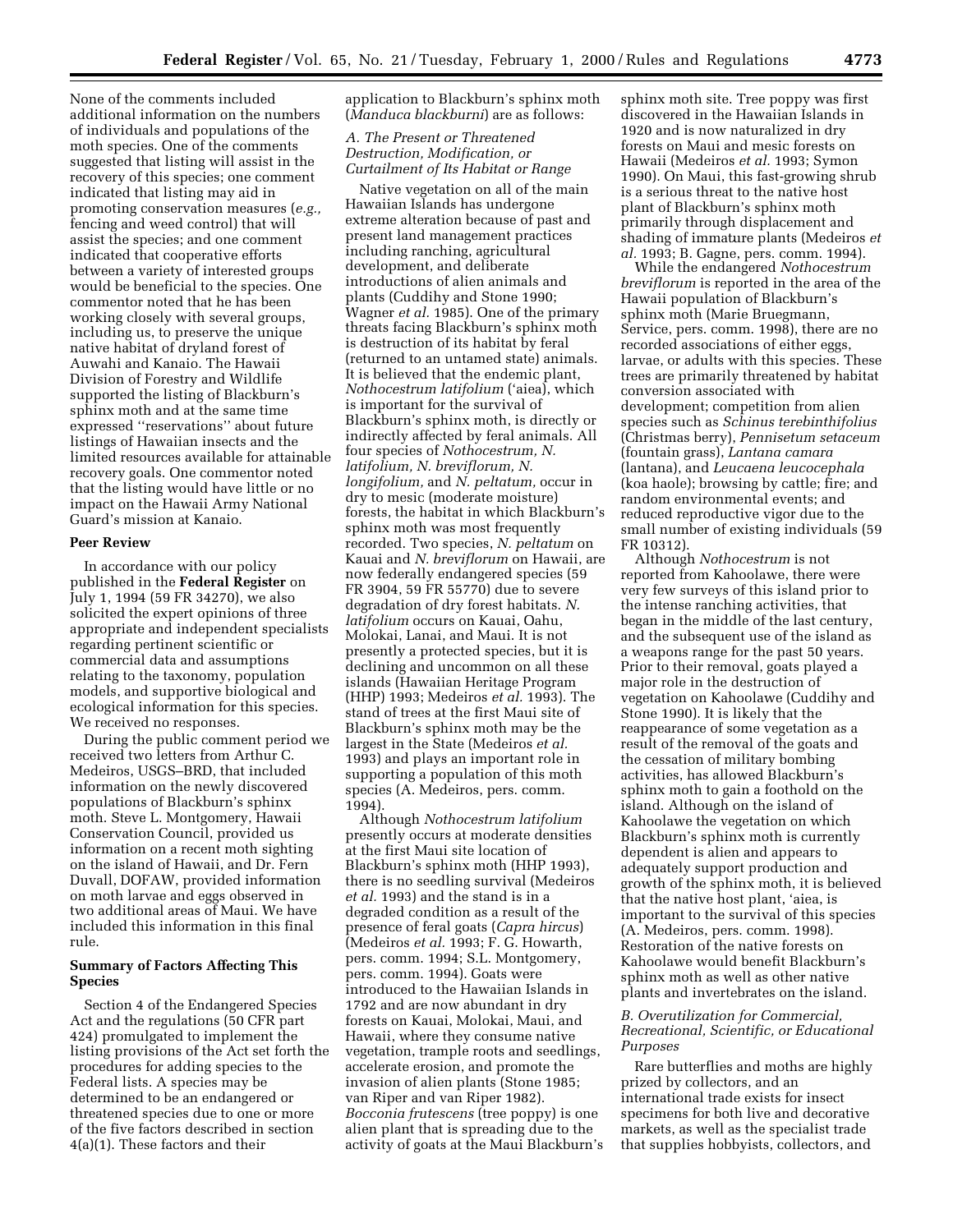None of the comments included additional information on the numbers of individuals and populations of the moth species. One of the comments suggested that listing will assist in the recovery of this species; one comment indicated that listing may aid in promoting conservation measures (*e.g.,* fencing and weed control) that will assist the species; and one comment indicated that cooperative efforts between a variety of interested groups would be beneficial to the species. One commentor noted that he has been working closely with several groups, including us, to preserve the unique native habitat of dryland forest of Auwahi and Kanaio. The Hawaii Division of Forestry and Wildlife supported the listing of Blackburn's sphinx moth and at the same time expressed ''reservations'' about future listings of Hawaiian insects and the limited resources available for attainable recovery goals. One commentor noted that the listing would have little or no impact on the Hawaii Army National Guard's mission at Kanaio.

### **Peer Review**

In accordance with our policy published in the **Federal Register** on July 1, 1994 (59 FR 34270), we also solicited the expert opinions of three appropriate and independent specialists regarding pertinent scientific or commercial data and assumptions relating to the taxonomy, population models, and supportive biological and ecological information for this species. We received no responses.

During the public comment period we received two letters from Arthur C. Medeiros, USGS–BRD, that included information on the newly discovered populations of Blackburn's sphinx moth. Steve L. Montgomery, Hawaii Conservation Council, provided us information on a recent moth sighting on the island of Hawaii, and Dr. Fern Duvall, DOFAW, provided information on moth larvae and eggs observed in two additional areas of Maui. We have included this information in this final rule.

### **Summary of Factors Affecting This Species**

Section 4 of the Endangered Species Act and the regulations (50 CFR part 424) promulgated to implement the listing provisions of the Act set forth the procedures for adding species to the Federal lists. A species may be determined to be an endangered or threatened species due to one or more of the five factors described in section 4(a)(1). These factors and their

application to Blackburn's sphinx moth (*Manduca blackburni*) are as follows:

# *A. The Present or Threatened Destruction, Modification, or Curtailment of Its Habitat or Range*

Native vegetation on all of the main Hawaiian Islands has undergone extreme alteration because of past and present land management practices including ranching, agricultural development, and deliberate introductions of alien animals and plants (Cuddihy and Stone 1990; Wagner *et al.* 1985). One of the primary threats facing Blackburn's sphinx moth is destruction of its habitat by feral (returned to an untamed state) animals. It is believed that the endemic plant, *Nothocestrum latifolium* ('aiea), which is important for the survival of Blackburn's sphinx moth, is directly or indirectly affected by feral animals. All four species of *Nothocestrum, N. latifolium, N. breviflorum, N. longifolium,* and *N. peltatum,* occur in dry to mesic (moderate moisture) forests, the habitat in which Blackburn's sphinx moth was most frequently recorded. Two species, *N. peltatum* on Kauai and *N. breviflorum* on Hawaii, are now federally endangered species (59 FR 3904, 59 FR 55770) due to severe degradation of dry forest habitats. *N. latifolium* occurs on Kauai, Oahu, Molokai, Lanai, and Maui. It is not presently a protected species, but it is declining and uncommon on all these islands (Hawaiian Heritage Program (HHP) 1993; Medeiros *et al.* 1993). The stand of trees at the first Maui site of Blackburn's sphinx moth may be the largest in the State (Medeiros *et al.* 1993) and plays an important role in supporting a population of this moth species (A. Medeiros, pers. comm. 1994).

Although *Nothocestrum latifolium* presently occurs at moderate densities at the first Maui site location of Blackburn's sphinx moth (HHP 1993), there is no seedling survival (Medeiros *et al.* 1993) and the stand is in a degraded condition as a result of the presence of feral goats (*Capra hircus*) (Medeiros *et al.* 1993; F. G. Howarth, pers. comm. 1994; S.L. Montgomery, pers. comm. 1994). Goats were introduced to the Hawaiian Islands in 1792 and are now abundant in dry forests on Kauai, Molokai, Maui, and Hawaii, where they consume native vegetation, trample roots and seedlings, accelerate erosion, and promote the invasion of alien plants (Stone 1985; van Riper and van Riper 1982). *Bocconia frutescens* (tree poppy) is one alien plant that is spreading due to the activity of goats at the Maui Blackburn's sphinx moth site. Tree poppy was first discovered in the Hawaiian Islands in 1920 and is now naturalized in dry forests on Maui and mesic forests on Hawaii (Medeiros *et al.* 1993; Symon 1990). On Maui, this fast-growing shrub is a serious threat to the native host plant of Blackburn's sphinx moth primarily through displacement and shading of immature plants (Medeiros *et al.* 1993; B. Gagne´ , pers. comm. 1994).

While the endangered *Nothocestrum breviflorum* is reported in the area of the Hawaii population of Blackburn's sphinx moth (Marie Bruegmann, Service, pers. comm. 1998), there are no recorded associations of either eggs, larvae, or adults with this species. These trees are primarily threatened by habitat conversion associated with development; competition from alien species such as *Schinus terebinthifolius* (Christmas berry), *Pennisetum setaceum* (fountain grass), *Lantana camara* (lantana), and *Leucaena leucocephala* (koa haole); browsing by cattle; fire; and random environmental events; and reduced reproductive vigor due to the small number of existing individuals (59 FR 10312).

Although *Nothocestrum* is not reported from Kahoolawe, there were very few surveys of this island prior to the intense ranching activities, that began in the middle of the last century, and the subsequent use of the island as a weapons range for the past 50 years. Prior to their removal, goats played a major role in the destruction of vegetation on Kahoolawe (Cuddihy and Stone 1990). It is likely that the reappearance of some vegetation as a result of the removal of the goats and the cessation of military bombing activities, has allowed Blackburn's sphinx moth to gain a foothold on the island. Although on the island of Kahoolawe the vegetation on which Blackburn's sphinx moth is currently dependent is alien and appears to adequately support production and growth of the sphinx moth, it is believed that the native host plant, 'aiea, is important to the survival of this species (A. Medeiros, pers. comm. 1998). Restoration of the native forests on Kahoolawe would benefit Blackburn's sphinx moth as well as other native plants and invertebrates on the island.

### *B. Overutilization for Commercial, Recreational, Scientific, or Educational Purposes*

Rare butterflies and moths are highly prized by collectors, and an international trade exists for insect specimens for both live and decorative markets, as well as the specialist trade that supplies hobbyists, collectors, and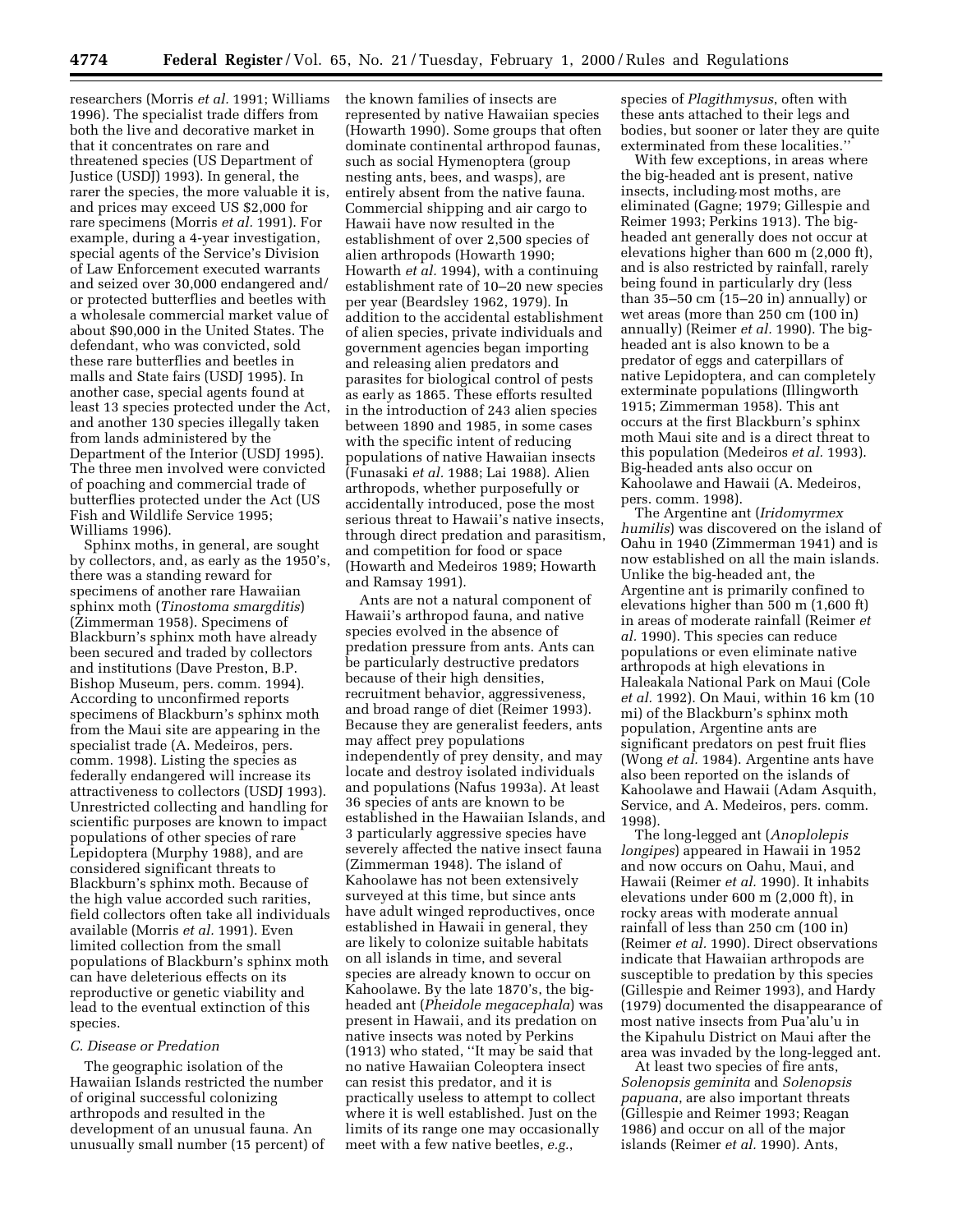researchers (Morris *et al.* 1991; Williams 1996). The specialist trade differs from both the live and decorative market in that it concentrates on rare and threatened species (US Department of Justice (USDJ) 1993). In general, the rarer the species, the more valuable it is, and prices may exceed US \$2,000 for rare specimens (Morris *et al.* 1991). For example, during a 4-year investigation, special agents of the Service's Division of Law Enforcement executed warrants and seized over 30,000 endangered and/ or protected butterflies and beetles with a wholesale commercial market value of about \$90,000 in the United States. The defendant, who was convicted, sold these rare butterflies and beetles in malls and State fairs (USDJ 1995). In another case, special agents found at least 13 species protected under the Act, and another 130 species illegally taken from lands administered by the Department of the Interior (USDJ 1995). The three men involved were convicted of poaching and commercial trade of butterflies protected under the Act (US Fish and Wildlife Service 1995; Williams 1996).

Sphinx moths, in general, are sought by collectors, and, as early as the 1950's, there was a standing reward for specimens of another rare Hawaiian sphinx moth (*Tinostoma smargditis*) (Zimmerman 1958). Specimens of Blackburn's sphinx moth have already been secured and traded by collectors and institutions (Dave Preston, B.P. Bishop Museum, pers. comm. 1994). According to unconfirmed reports specimens of Blackburn's sphinx moth from the Maui site are appearing in the specialist trade (A. Medeiros, pers. comm. 1998). Listing the species as federally endangered will increase its attractiveness to collectors (USDJ 1993). Unrestricted collecting and handling for scientific purposes are known to impact populations of other species of rare Lepidoptera (Murphy 1988), and are considered significant threats to Blackburn's sphinx moth. Because of the high value accorded such rarities, field collectors often take all individuals available (Morris *et al.* 1991). Even limited collection from the small populations of Blackburn's sphinx moth can have deleterious effects on its reproductive or genetic viability and lead to the eventual extinction of this species.

### *C. Disease or Predation*

The geographic isolation of the Hawaiian Islands restricted the number of original successful colonizing arthropods and resulted in the development of an unusual fauna. An unusually small number (15 percent) of the known families of insects are represented by native Hawaiian species (Howarth 1990). Some groups that often dominate continental arthropod faunas, such as social Hymenoptera (group nesting ants, bees, and wasps), are entirely absent from the native fauna. Commercial shipping and air cargo to Hawaii have now resulted in the establishment of over 2,500 species of alien arthropods (Howarth 1990; Howarth *et al.* 1994), with a continuing establishment rate of 10–20 new species per year (Beardsley 1962, 1979). In addition to the accidental establishment of alien species, private individuals and government agencies began importing and releasing alien predators and parasites for biological control of pests as early as 1865. These efforts resulted in the introduction of 243 alien species between 1890 and 1985, in some cases with the specific intent of reducing populations of native Hawaiian insects (Funasaki *et al.* 1988; Lai 1988). Alien arthropods, whether purposefully or accidentally introduced, pose the most serious threat to Hawaii's native insects, through direct predation and parasitism, and competition for food or space (Howarth and Medeiros 1989; Howarth and Ramsay 1991).

Ants are not a natural component of Hawaii's arthropod fauna, and native species evolved in the absence of predation pressure from ants. Ants can be particularly destructive predators because of their high densities, recruitment behavior, aggressiveness, and broad range of diet (Reimer 1993). Because they are generalist feeders, ants may affect prey populations independently of prey density, and may locate and destroy isolated individuals and populations (Nafus 1993a). At least 36 species of ants are known to be established in the Hawaiian Islands, and 3 particularly aggressive species have severely affected the native insect fauna (Zimmerman 1948). The island of Kahoolawe has not been extensively surveyed at this time, but since ants have adult winged reproductives, once established in Hawaii in general, they are likely to colonize suitable habitats on all islands in time, and several species are already known to occur on Kahoolawe. By the late 1870's, the bigheaded ant (*Pheidole megacephala*) was present in Hawaii, and its predation on native insects was noted by Perkins (1913) who stated, ''It may be said that no native Hawaiian Coleoptera insect can resist this predator, and it is practically useless to attempt to collect where it is well established. Just on the limits of its range one may occasionally meet with a few native beetles, *e.g.*,

species of *Plagithmysus*, often with these ants attached to their legs and bodies, but sooner or later they are quite exterminated from these localities.''

With few exceptions, in areas where the big-headed ant is present, native insects, including most moths, are msects, including most mours, are<br>eliminated (Gagne; 1979; Gillespie and Reimer 1993; Perkins 1913). The bigheaded ant generally does not occur at elevations higher than 600 m (2,000 ft), and is also restricted by rainfall, rarely being found in particularly dry (less than 35–50 cm (15–20 in) annually) or wet areas (more than 250 cm (100 in) annually) (Reimer *et al.* 1990). The bigheaded ant is also known to be a predator of eggs and caterpillars of native Lepidoptera, and can completely exterminate populations (Illingworth 1915; Zimmerman 1958). This ant occurs at the first Blackburn's sphinx moth Maui site and is a direct threat to this population (Medeiros *et al.* 1993). Big-headed ants also occur on Kahoolawe and Hawaii (A. Medeiros, pers. comm. 1998).

The Argentine ant (*Iridomyrmex humilis*) was discovered on the island of Oahu in 1940 (Zimmerman 1941) and is now established on all the main islands. Unlike the big-headed ant, the Argentine ant is primarily confined to elevations higher than 500 m (1,600 ft) in areas of moderate rainfall (Reimer *et al.* 1990). This species can reduce populations or even eliminate native arthropods at high elevations in Haleakala National Park on Maui (Cole *et al.* 1992). On Maui, within 16 km (10 mi) of the Blackburn's sphinx moth population, Argentine ants are significant predators on pest fruit flies (Wong *et al.* 1984). Argentine ants have also been reported on the islands of Kahoolawe and Hawaii (Adam Asquith, Service, and A. Medeiros, pers. comm. 1998).

The long-legged ant (*Anoplolepis longipes*) appeared in Hawaii in 1952 and now occurs on Oahu, Maui, and Hawaii (Reimer *et al.* 1990). It inhabits elevations under 600 m (2,000 ft), in rocky areas with moderate annual rainfall of less than 250 cm (100 in) (Reimer *et al.* 1990). Direct observations indicate that Hawaiian arthropods are susceptible to predation by this species (Gillespie and Reimer 1993), and Hardy (1979) documented the disappearance of most native insects from Pua'alu'u in the Kipahulu District on Maui after the area was invaded by the long-legged ant.

At least two species of fire ants, *Solenopsis geminita* and *Solenopsis papuana*, are also important threats (Gillespie and Reimer 1993; Reagan 1986) and occur on all of the major islands (Reimer *et al.* 1990). Ants,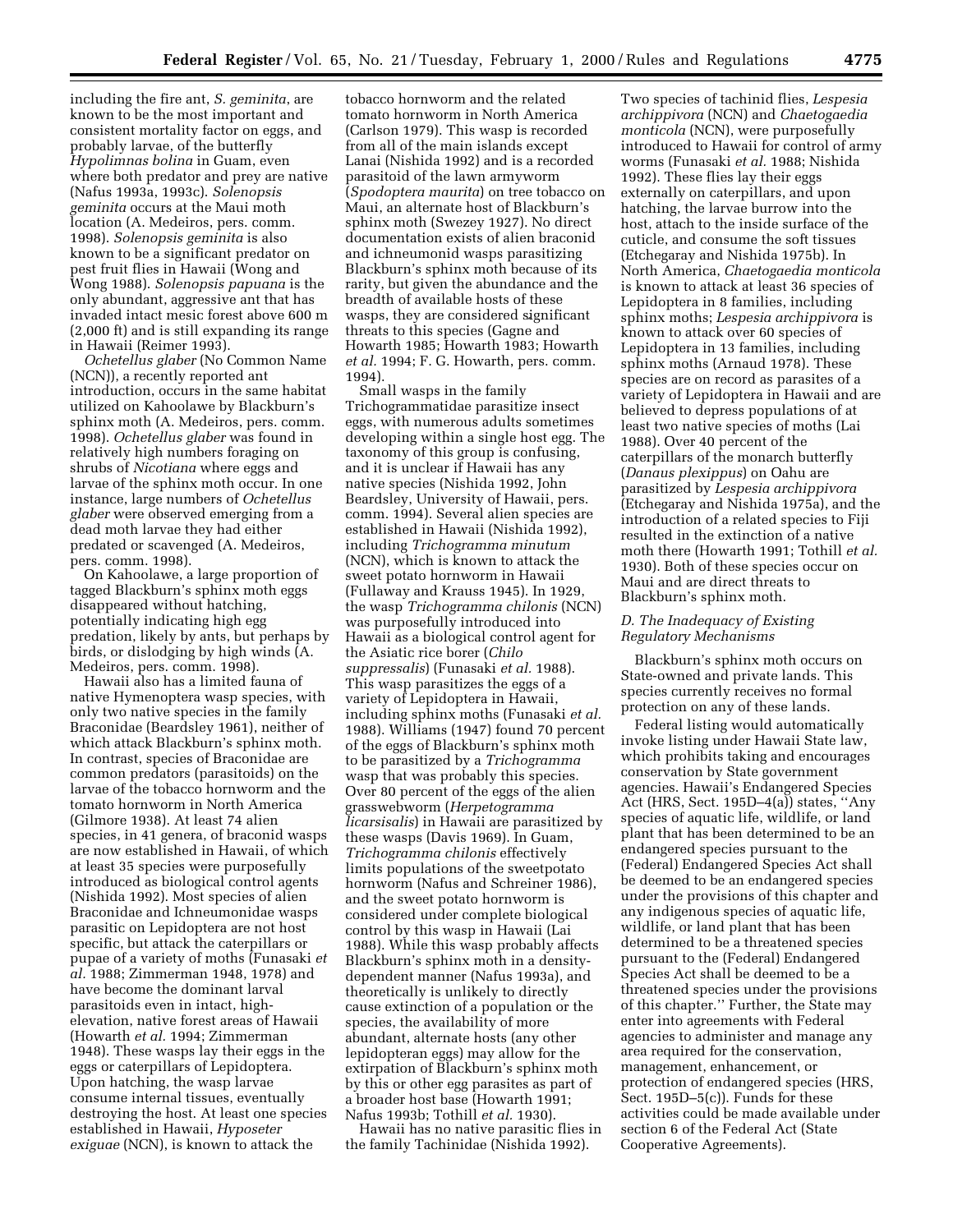including the fire ant, *S. geminita*, are known to be the most important and consistent mortality factor on eggs, and probably larvae, of the butterfly *Hypolimnas bolina* in Guam, even where both predator and prey are native (Nafus 1993a, 1993c). *Solenopsis geminita* occurs at the Maui moth location (A. Medeiros, pers. comm. 1998). *Solenopsis geminita* is also known to be a significant predator on pest fruit flies in Hawaii (Wong and Wong 1988). *Solenopsis papuana* is the only abundant, aggressive ant that has invaded intact mesic forest above 600 m (2,000 ft) and is still expanding its range in Hawaii (Reimer 1993).

*Ochetellus glaber* (No Common Name (NCN)), a recently reported ant introduction, occurs in the same habitat utilized on Kahoolawe by Blackburn's sphinx moth (A. Medeiros, pers. comm. 1998). *Ochetellus glaber* was found in relatively high numbers foraging on shrubs of *Nicotiana* where eggs and larvae of the sphinx moth occur. In one instance, large numbers of *Ochetellus glaber* were observed emerging from a dead moth larvae they had either predated or scavenged (A. Medeiros, pers. comm. 1998).

On Kahoolawe, a large proportion of tagged Blackburn's sphinx moth eggs disappeared without hatching, potentially indicating high egg predation, likely by ants, but perhaps by birds, or dislodging by high winds (A. Medeiros, pers. comm. 1998).

Hawaii also has a limited fauna of native Hymenoptera wasp species, with only two native species in the family Braconidae (Beardsley 1961), neither of which attack Blackburn's sphinx moth. In contrast, species of Braconidae are common predators (parasitoids) on the larvae of the tobacco hornworm and the tomato hornworm in North America (Gilmore 1938). At least 74 alien species, in 41 genera, of braconid wasps are now established in Hawaii, of which at least 35 species were purposefully introduced as biological control agents (Nishida 1992). Most species of alien Braconidae and Ichneumonidae wasps parasitic on Lepidoptera are not host specific, but attack the caterpillars or pupae of a variety of moths (Funasaki *et al.* 1988; Zimmerman 1948, 1978) and have become the dominant larval parasitoids even in intact, highelevation, native forest areas of Hawaii (Howarth *et al.* 1994; Zimmerman 1948). These wasps lay their eggs in the eggs or caterpillars of Lepidoptera. Upon hatching, the wasp larvae consume internal tissues, eventually destroying the host. At least one species established in Hawaii, *Hyposeter exiguae* (NCN), is known to attack the

tobacco hornworm and the related tomato hornworm in North America (Carlson 1979). This wasp is recorded from all of the main islands except Lanai (Nishida 1992) and is a recorded parasitoid of the lawn armyworm (*Spodoptera maurita*) on tree tobacco on Maui, an alternate host of Blackburn's sphinx moth (Swezey 1927). No direct documentation exists of alien braconid and ichneumonid wasps parasitizing Blackburn's sphinx moth because of its rarity, but given the abundance and the breadth of available hosts of these wasps, they are considered significant threats to this species (Gagne and Howarth 1985; Howarth 1983; Howarth *et al.* 1994; F. G. Howarth, pers. comm. 1994).

Small wasps in the family Trichogrammatidae parasitize insect eggs, with numerous adults sometimes developing within a single host egg. The taxonomy of this group is confusing, and it is unclear if Hawaii has any native species (Nishida 1992, John Beardsley, University of Hawaii, pers. comm. 1994). Several alien species are established in Hawaii (Nishida 1992), including *Trichogramma minutum* (NCN), which is known to attack the sweet potato hornworm in Hawaii (Fullaway and Krauss 1945). In 1929, the wasp *Trichogramma chilonis* (NCN) was purposefully introduced into Hawaii as a biological control agent for the Asiatic rice borer (*Chilo suppressalis*) (Funasaki *et al.* 1988). This wasp parasitizes the eggs of a variety of Lepidoptera in Hawaii, including sphinx moths (Funasaki *et al.* 1988). Williams (1947) found 70 percent of the eggs of Blackburn's sphinx moth to be parasitized by a *Trichogramma* wasp that was probably this species. Over 80 percent of the eggs of the alien grasswebworm (*Herpetogramma licarsisalis*) in Hawaii are parasitized by these wasps (Davis 1969). In Guam, *Trichogramma chilonis* effectively limits populations of the sweetpotato hornworm (Nafus and Schreiner 1986), and the sweet potato hornworm is considered under complete biological control by this wasp in Hawaii (Lai 1988). While this wasp probably affects Blackburn's sphinx moth in a densitydependent manner (Nafus 1993a), and theoretically is unlikely to directly cause extinction of a population or the species, the availability of more abundant, alternate hosts (any other lepidopteran eggs) may allow for the extirpation of Blackburn's sphinx moth by this or other egg parasites as part of a broader host base (Howarth 1991; Nafus 1993b; Tothill *et al.* 1930).

Hawaii has no native parasitic flies in the family Tachinidae (Nishida 1992).

Two species of tachinid flies, *Lespesia archippivora* (NCN) and *Chaetogaedia monticola* (NCN), were purposefully introduced to Hawaii for control of army worms (Funasaki *et al.* 1988; Nishida 1992). These flies lay their eggs externally on caterpillars, and upon hatching, the larvae burrow into the host, attach to the inside surface of the cuticle, and consume the soft tissues (Etchegaray and Nishida 1975b). In North America, *Chaetogaedia monticola* is known to attack at least 36 species of Lepidoptera in 8 families, including sphinx moths; *Lespesia archippivora* is known to attack over 60 species of Lepidoptera in 13 families, including sphinx moths (Arnaud 1978). These species are on record as parasites of a variety of Lepidoptera in Hawaii and are believed to depress populations of at least two native species of moths (Lai 1988). Over 40 percent of the caterpillars of the monarch butterfly (*Danaus plexippus*) on Oahu are parasitized by *Lespesia archippivora* (Etchegaray and Nishida 1975a), and the introduction of a related species to Fiji resulted in the extinction of a native moth there (Howarth 1991; Tothill *et al.* 1930). Both of these species occur on Maui and are direct threats to Blackburn's sphinx moth.

### *D. The Inadequacy of Existing Regulatory Mechanisms*

Blackburn's sphinx moth occurs on State-owned and private lands. This species currently receives no formal protection on any of these lands.

Federal listing would automatically invoke listing under Hawaii State law, which prohibits taking and encourages conservation by State government agencies. Hawaii's Endangered Species Act (HRS, Sect. 195D–4(a)) states, ''Any species of aquatic life, wildlife, or land plant that has been determined to be an endangered species pursuant to the (Federal) Endangered Species Act shall be deemed to be an endangered species under the provisions of this chapter and any indigenous species of aquatic life, wildlife, or land plant that has been determined to be a threatened species pursuant to the (Federal) Endangered Species Act shall be deemed to be a threatened species under the provisions of this chapter.'' Further, the State may enter into agreements with Federal agencies to administer and manage any area required for the conservation, management, enhancement, or protection of endangered species (HRS, Sect. 195D–5(c)). Funds for these activities could be made available under section 6 of the Federal Act (State Cooperative Agreements).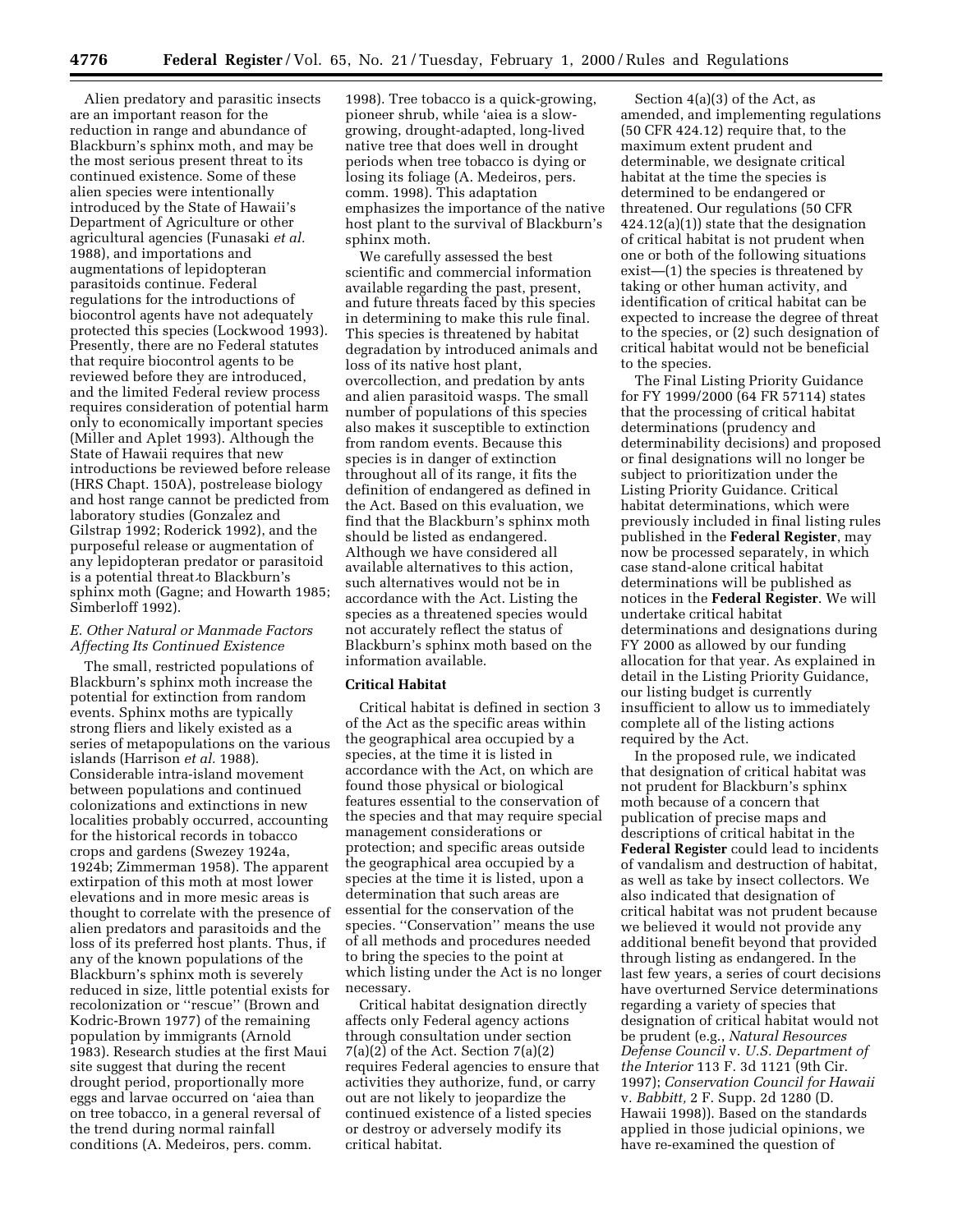Alien predatory and parasitic insects are an important reason for the reduction in range and abundance of Blackburn's sphinx moth, and may be the most serious present threat to its continued existence. Some of these alien species were intentionally introduced by the State of Hawaii's Department of Agriculture or other agricultural agencies (Funasaki *et al.* 1988), and importations and augmentations of lepidopteran parasitoids continue. Federal regulations for the introductions of biocontrol agents have not adequately protected this species (Lockwood 1993). Presently, there are no Federal statutes that require biocontrol agents to be reviewed before they are introduced, and the limited Federal review process requires consideration of potential harm only to economically important species (Miller and Aplet 1993). Although the State of Hawaii requires that new introductions be reviewed before release (HRS Chapt. 150A), postrelease biology and host range cannot be predicted from laboratory studies (Gonzalez and Gilstrap 1992; Roderick 1992), and the purposeful release or augmentation of any lepidopteran predator or parasitoid is a potential threat to Blackburn's is a potential timear to blackburn's<br>sphinx moth (Gagne; and Howarth 1985; Simberloff 1992).

### *E. Other Natural or Manmade Factors Affecting Its Continued Existence*

The small, restricted populations of Blackburn's sphinx moth increase the potential for extinction from random events. Sphinx moths are typically strong fliers and likely existed as a series of metapopulations on the various islands (Harrison *et al.* 1988). Considerable intra-island movement between populations and continued colonizations and extinctions in new localities probably occurred, accounting for the historical records in tobacco crops and gardens (Swezey 1924a, 1924b; Zimmerman 1958). The apparent extirpation of this moth at most lower elevations and in more mesic areas is thought to correlate with the presence of alien predators and parasitoids and the loss of its preferred host plants. Thus, if any of the known populations of the Blackburn's sphinx moth is severely reduced in size, little potential exists for recolonization or ''rescue'' (Brown and Kodric-Brown 1977) of the remaining population by immigrants (Arnold 1983). Research studies at the first Maui site suggest that during the recent drought period, proportionally more eggs and larvae occurred on 'aiea than on tree tobacco, in a general reversal of the trend during normal rainfall conditions (A. Medeiros, pers. comm.

1998). Tree tobacco is a quick-growing, pioneer shrub, while 'aiea is a slowgrowing, drought-adapted, long-lived native tree that does well in drought periods when tree tobacco is dying or losing its foliage (A. Medeiros, pers. comm. 1998). This adaptation emphasizes the importance of the native host plant to the survival of Blackburn's sphinx moth.

We carefully assessed the best scientific and commercial information available regarding the past, present, and future threats faced by this species in determining to make this rule final. This species is threatened by habitat degradation by introduced animals and loss of its native host plant, overcollection, and predation by ants and alien parasitoid wasps. The small number of populations of this species also makes it susceptible to extinction from random events. Because this species is in danger of extinction throughout all of its range, it fits the definition of endangered as defined in the Act. Based on this evaluation, we find that the Blackburn's sphinx moth should be listed as endangered. Although we have considered all available alternatives to this action, such alternatives would not be in accordance with the Act. Listing the species as a threatened species would not accurately reflect the status of Blackburn's sphinx moth based on the information available.

#### **Critical Habitat**

Critical habitat is defined in section 3 of the Act as the specific areas within the geographical area occupied by a species, at the time it is listed in accordance with the Act, on which are found those physical or biological features essential to the conservation of the species and that may require special management considerations or protection; and specific areas outside the geographical area occupied by a species at the time it is listed, upon a determination that such areas are essential for the conservation of the species. ''Conservation'' means the use of all methods and procedures needed to bring the species to the point at which listing under the Act is no longer necessary.

Critical habitat designation directly affects only Federal agency actions through consultation under section  $7(a)(2)$  of the Act. Section  $7(a)(2)$ requires Federal agencies to ensure that activities they authorize, fund, or carry out are not likely to jeopardize the continued existence of a listed species or destroy or adversely modify its critical habitat.

Section 4(a)(3) of the Act, as amended, and implementing regulations (50 CFR 424.12) require that, to the maximum extent prudent and determinable, we designate critical habitat at the time the species is determined to be endangered or threatened. Our regulations (50 CFR 424.12(a)(1)) state that the designation of critical habitat is not prudent when one or both of the following situations exist—(1) the species is threatened by taking or other human activity, and identification of critical habitat can be expected to increase the degree of threat to the species, or (2) such designation of critical habitat would not be beneficial to the species.

The Final Listing Priority Guidance for FY 1999/2000 (64 FR 57114) states that the processing of critical habitat determinations (prudency and determinability decisions) and proposed or final designations will no longer be subject to prioritization under the Listing Priority Guidance. Critical habitat determinations, which were previously included in final listing rules published in the **Federal Register**, may now be processed separately, in which case stand-alone critical habitat determinations will be published as notices in the **Federal Register**. We will undertake critical habitat determinations and designations during FY 2000 as allowed by our funding allocation for that year. As explained in detail in the Listing Priority Guidance, our listing budget is currently insufficient to allow us to immediately complete all of the listing actions required by the Act.

In the proposed rule, we indicated that designation of critical habitat was not prudent for Blackburn's sphinx moth because of a concern that publication of precise maps and descriptions of critical habitat in the **Federal Register** could lead to incidents of vandalism and destruction of habitat, as well as take by insect collectors. We also indicated that designation of critical habitat was not prudent because we believed it would not provide any additional benefit beyond that provided through listing as endangered. In the last few years, a series of court decisions have overturned Service determinations regarding a variety of species that designation of critical habitat would not be prudent (e.g., *Natural Resources Defense Council* v. *U.S. Department of the Interior* 113 F. 3d 1121 (9th Cir. 1997); *Conservation Council for Hawaii* v. *Babbitt,* 2 F. Supp. 2d 1280 (D. Hawaii 1998)). Based on the standards applied in those judicial opinions, we have re-examined the question of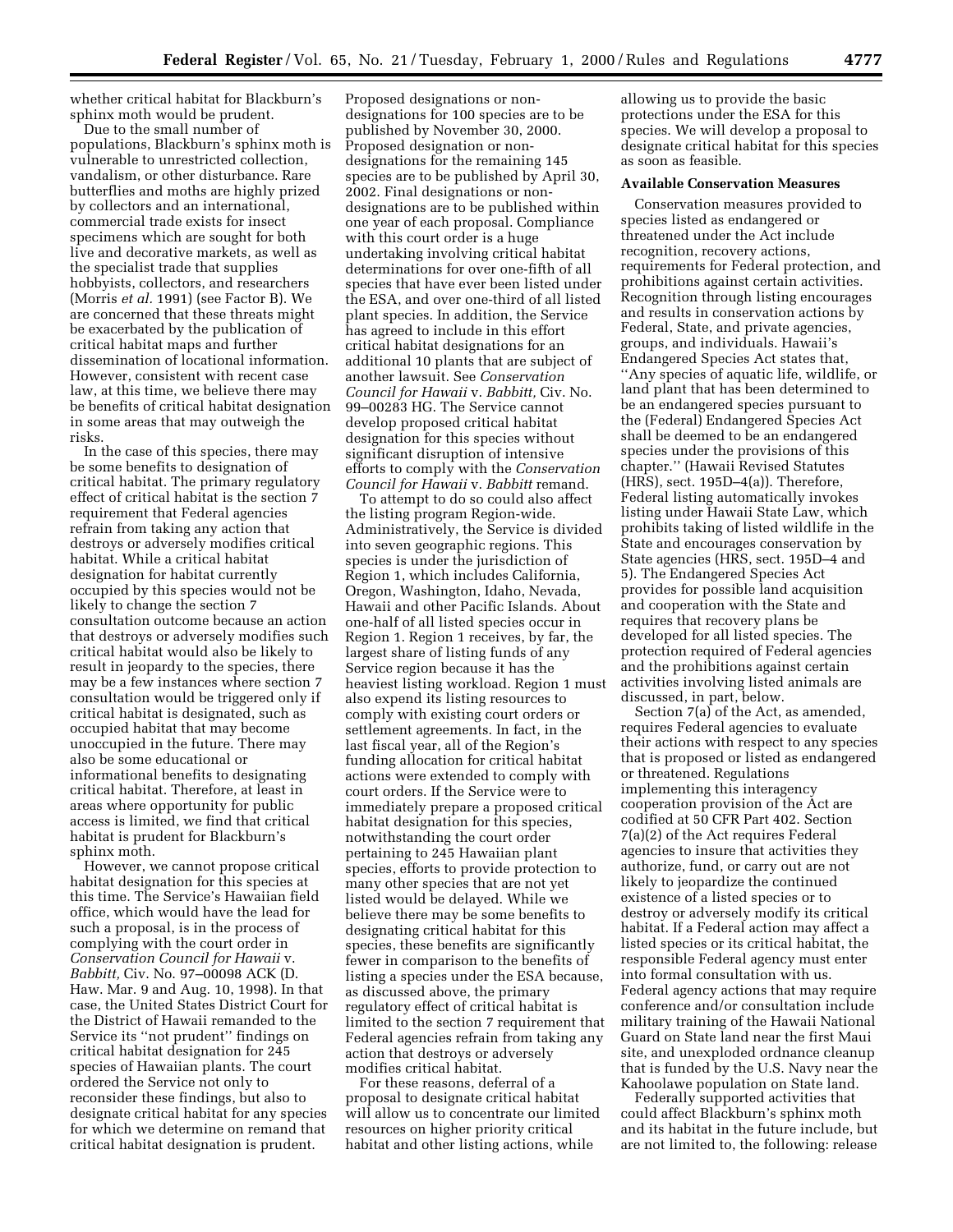whether critical habitat for Blackburn's sphinx moth would be prudent.

Due to the small number of populations, Blackburn's sphinx moth is vulnerable to unrestricted collection, vandalism, or other disturbance. Rare butterflies and moths are highly prized by collectors and an international, commercial trade exists for insect specimens which are sought for both live and decorative markets, as well as the specialist trade that supplies hobbyists, collectors, and researchers (Morris *et al.* 1991) (see Factor B). We are concerned that these threats might be exacerbated by the publication of critical habitat maps and further dissemination of locational information. However, consistent with recent case law, at this time, we believe there may be benefits of critical habitat designation in some areas that may outweigh the risks.

In the case of this species, there may be some benefits to designation of critical habitat. The primary regulatory effect of critical habitat is the section 7 requirement that Federal agencies refrain from taking any action that destroys or adversely modifies critical habitat. While a critical habitat designation for habitat currently occupied by this species would not be likely to change the section 7 consultation outcome because an action that destroys or adversely modifies such critical habitat would also be likely to result in jeopardy to the species, there may be a few instances where section 7 consultation would be triggered only if critical habitat is designated, such as occupied habitat that may become unoccupied in the future. There may also be some educational or informational benefits to designating critical habitat. Therefore, at least in areas where opportunity for public access is limited, we find that critical habitat is prudent for Blackburn's sphinx moth.

However, we cannot propose critical habitat designation for this species at this time. The Service's Hawaiian field office, which would have the lead for such a proposal, is in the process of complying with the court order in *Conservation Council for Hawaii* v. *Babbitt,* Civ. No. 97–00098 ACK (D. Haw. Mar. 9 and Aug. 10, 1998). In that case, the United States District Court for the District of Hawaii remanded to the Service its ''not prudent'' findings on critical habitat designation for 245 species of Hawaiian plants. The court ordered the Service not only to reconsider these findings, but also to designate critical habitat for any species for which we determine on remand that critical habitat designation is prudent.

Proposed designations or nondesignations for 100 species are to be published by November 30, 2000. Proposed designation or nondesignations for the remaining 145 species are to be published by April 30, 2002. Final designations or nondesignations are to be published within one year of each proposal. Compliance with this court order is a huge undertaking involving critical habitat determinations for over one-fifth of all species that have ever been listed under the ESA, and over one-third of all listed plant species. In addition, the Service has agreed to include in this effort critical habitat designations for an additional 10 plants that are subject of another lawsuit. See *Conservation Council for Hawaii* v. *Babbitt,* Civ. No. 99–00283 HG. The Service cannot develop proposed critical habitat designation for this species without significant disruption of intensive efforts to comply with the *Conservation Council for Hawaii* v. *Babbitt* remand.

To attempt to do so could also affect the listing program Region-wide. Administratively, the Service is divided into seven geographic regions. This species is under the jurisdiction of Region 1, which includes California, Oregon, Washington, Idaho, Nevada, Hawaii and other Pacific Islands. About one-half of all listed species occur in Region 1. Region 1 receives, by far, the largest share of listing funds of any Service region because it has the heaviest listing workload. Region 1 must also expend its listing resources to comply with existing court orders or settlement agreements. In fact, in the last fiscal year, all of the Region's funding allocation for critical habitat actions were extended to comply with court orders. If the Service were to immediately prepare a proposed critical habitat designation for this species, notwithstanding the court order pertaining to 245 Hawaiian plant species, efforts to provide protection to many other species that are not yet listed would be delayed. While we believe there may be some benefits to designating critical habitat for this species, these benefits are significantly fewer in comparison to the benefits of listing a species under the ESA because, as discussed above, the primary regulatory effect of critical habitat is limited to the section 7 requirement that Federal agencies refrain from taking any action that destroys or adversely modifies critical habitat.

For these reasons, deferral of a proposal to designate critical habitat will allow us to concentrate our limited resources on higher priority critical habitat and other listing actions, while

allowing us to provide the basic protections under the ESA for this species. We will develop a proposal to designate critical habitat for this species as soon as feasible.

### **Available Conservation Measures**

Conservation measures provided to species listed as endangered or threatened under the Act include recognition, recovery actions, requirements for Federal protection, and prohibitions against certain activities. Recognition through listing encourages and results in conservation actions by Federal, State, and private agencies, groups, and individuals. Hawaii's Endangered Species Act states that, ''Any species of aquatic life, wildlife, or land plant that has been determined to be an endangered species pursuant to the (Federal) Endangered Species Act shall be deemed to be an endangered species under the provisions of this chapter.'' (Hawaii Revised Statutes (HRS), sect. 195D–4(a)). Therefore, Federal listing automatically invokes listing under Hawaii State Law, which prohibits taking of listed wildlife in the State and encourages conservation by State agencies (HRS, sect. 195D–4 and 5). The Endangered Species Act provides for possible land acquisition and cooperation with the State and requires that recovery plans be developed for all listed species. The protection required of Federal agencies and the prohibitions against certain activities involving listed animals are discussed, in part, below.

Section 7(a) of the Act, as amended, requires Federal agencies to evaluate their actions with respect to any species that is proposed or listed as endangered or threatened. Regulations implementing this interagency cooperation provision of the Act are codified at 50 CFR Part 402. Section 7(a)(2) of the Act requires Federal agencies to insure that activities they authorize, fund, or carry out are not likely to jeopardize the continued existence of a listed species or to destroy or adversely modify its critical habitat. If a Federal action may affect a listed species or its critical habitat, the responsible Federal agency must enter into formal consultation with us. Federal agency actions that may require conference and/or consultation include military training of the Hawaii National Guard on State land near the first Maui site, and unexploded ordnance cleanup that is funded by the U.S. Navy near the Kahoolawe population on State land.

Federally supported activities that could affect Blackburn's sphinx moth and its habitat in the future include, but are not limited to, the following: release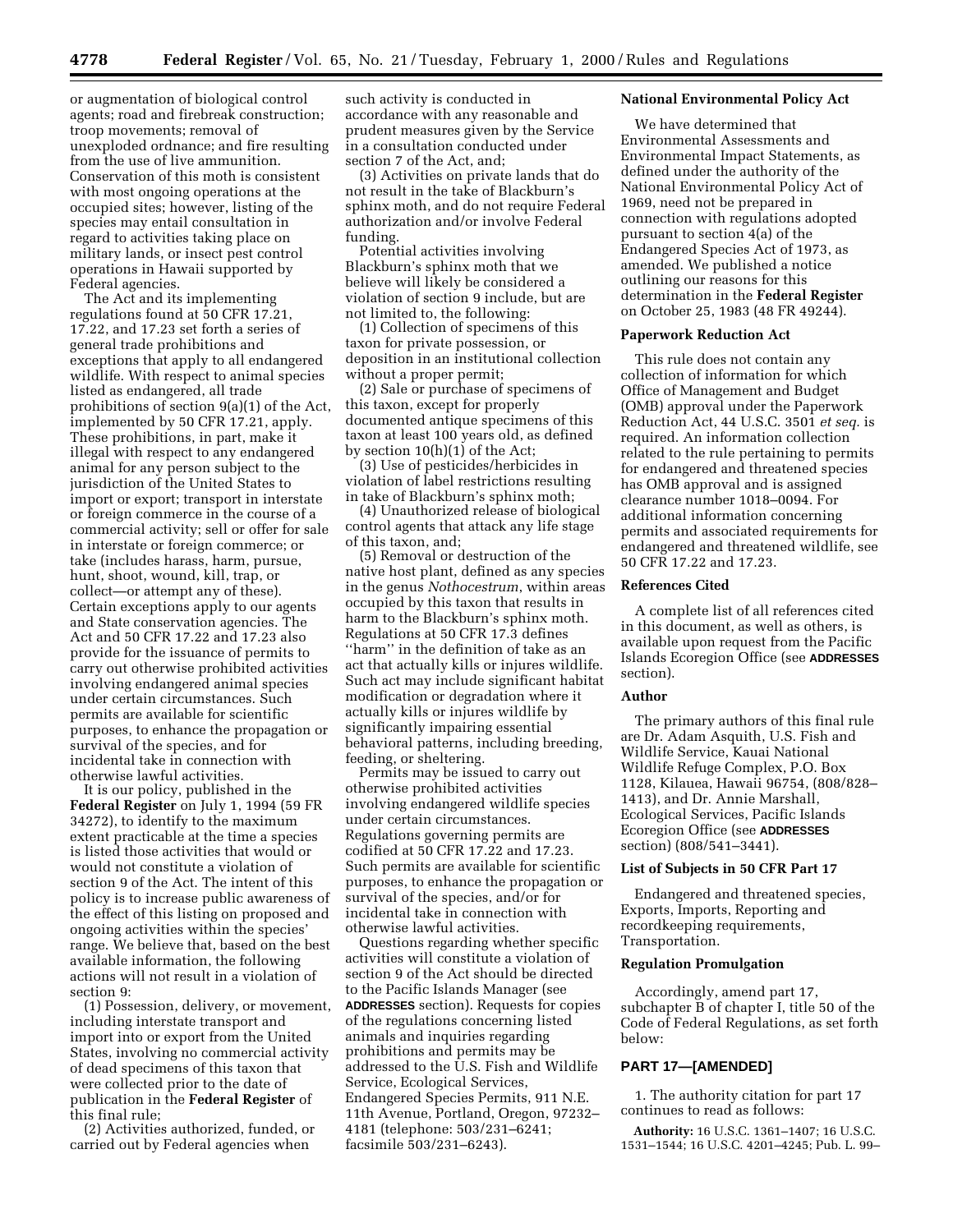or augmentation of biological control agents; road and firebreak construction; troop movements; removal of unexploded ordnance; and fire resulting from the use of live ammunition. Conservation of this moth is consistent with most ongoing operations at the occupied sites; however, listing of the species may entail consultation in regard to activities taking place on military lands, or insect pest control operations in Hawaii supported by Federal agencies.

The Act and its implementing regulations found at 50 CFR 17.21, 17.22, and 17.23 set forth a series of general trade prohibitions and exceptions that apply to all endangered wildlife. With respect to animal species listed as endangered, all trade prohibitions of section 9(a)(1) of the Act, implemented by 50 CFR 17.21, apply. These prohibitions, in part, make it illegal with respect to any endangered animal for any person subject to the jurisdiction of the United States to import or export; transport in interstate or foreign commerce in the course of a commercial activity; sell or offer for sale in interstate or foreign commerce; or take (includes harass, harm, pursue, hunt, shoot, wound, kill, trap, or collect—or attempt any of these). Certain exceptions apply to our agents and State conservation agencies. The Act and 50 CFR 17.22 and 17.23 also provide for the issuance of permits to carry out otherwise prohibited activities involving endangered animal species under certain circumstances. Such permits are available for scientific purposes, to enhance the propagation or survival of the species, and for incidental take in connection with otherwise lawful activities.

It is our policy, published in the **Federal Register** on July 1, 1994 (59 FR 34272), to identify to the maximum extent practicable at the time a species is listed those activities that would or would not constitute a violation of section 9 of the Act. The intent of this policy is to increase public awareness of the effect of this listing on proposed and ongoing activities within the species' range. We believe that, based on the best available information, the following actions will not result in a violation of section 9:

(1) Possession, delivery, or movement, including interstate transport and import into or export from the United States, involving no commercial activity of dead specimens of this taxon that were collected prior to the date of publication in the **Federal Register** of this final rule;

(2) Activities authorized, funded, or carried out by Federal agencies when

such activity is conducted in accordance with any reasonable and prudent measures given by the Service in a consultation conducted under section 7 of the Act, and;

(3) Activities on private lands that do not result in the take of Blackburn's sphinx moth, and do not require Federal authorization and/or involve Federal funding.

Potential activities involving Blackburn's sphinx moth that we believe will likely be considered a violation of section 9 include, but are not limited to, the following:

(1) Collection of specimens of this taxon for private possession, or deposition in an institutional collection without a proper permit;

(2) Sale or purchase of specimens of this taxon, except for properly documented antique specimens of this taxon at least 100 years old, as defined by section 10(h)(1) of the Act;

(3) Use of pesticides/herbicides in violation of label restrictions resulting in take of Blackburn's sphinx moth;

(4) Unauthorized release of biological control agents that attack any life stage of this taxon, and;

(5) Removal or destruction of the native host plant, defined as any species in the genus *Nothocestrum*, within areas occupied by this taxon that results in harm to the Blackburn's sphinx moth. Regulations at 50 CFR 17.3 defines ''harm'' in the definition of take as an act that actually kills or injures wildlife. Such act may include significant habitat modification or degradation where it actually kills or injures wildlife by significantly impairing essential behavioral patterns, including breeding, feeding, or sheltering.

Permits may be issued to carry out otherwise prohibited activities involving endangered wildlife species under certain circumstances. Regulations governing permits are codified at 50 CFR 17.22 and 17.23. Such permits are available for scientific purposes, to enhance the propagation or survival of the species, and/or for incidental take in connection with otherwise lawful activities.

Questions regarding whether specific activities will constitute a violation of section 9 of the Act should be directed to the Pacific Islands Manager (see **ADDRESSES** section). Requests for copies of the regulations concerning listed animals and inquiries regarding prohibitions and permits may be addressed to the U.S. Fish and Wildlife Service, Ecological Services, Endangered Species Permits, 911 N.E. 11th Avenue, Portland, Oregon, 97232– 4181 (telephone: 503/231–6241; facsimile 503/231–6243).

#### **National Environmental Policy Act**

We have determined that Environmental Assessments and Environmental Impact Statements, as defined under the authority of the National Environmental Policy Act of 1969, need not be prepared in connection with regulations adopted pursuant to section 4(a) of the Endangered Species Act of 1973, as amended. We published a notice outlining our reasons for this determination in the **Federal Register** on October 25, 1983 (48 FR 49244).

#### **Paperwork Reduction Act**

This rule does not contain any collection of information for which Office of Management and Budget (OMB) approval under the Paperwork Reduction Act, 44 U.S.C. 3501 *et seq.* is required. An information collection related to the rule pertaining to permits for endangered and threatened species has OMB approval and is assigned clearance number 1018–0094. For additional information concerning permits and associated requirements for endangered and threatened wildlife, see 50 CFR 17.22 and 17.23.

#### **References Cited**

A complete list of all references cited in this document, as well as others, is available upon request from the Pacific Islands Ecoregion Office (see **ADDRESSES** section).

#### **Author**

The primary authors of this final rule are Dr. Adam Asquith, U.S. Fish and Wildlife Service, Kauai National Wildlife Refuge Complex, P.O. Box 1128, Kilauea, Hawaii 96754, (808/828– 1413), and Dr. Annie Marshall, Ecological Services, Pacific Islands Ecoregion Office (see **ADDRESSES** section) (808/541–3441).

### **List of Subjects in 50 CFR Part 17**

Endangered and threatened species, Exports, Imports, Reporting and recordkeeping requirements, Transportation.

#### **Regulation Promulgation**

Accordingly, amend part 17, subchapter B of chapter I, title 50 of the Code of Federal Regulations, as set forth below:

# **PART 17—[AMENDED]**

1. The authority citation for part 17 continues to read as follows:

**Authority:** 16 U.S.C. 1361–1407; 16 U.S.C. 1531–1544; 16 U.S.C. 4201–4245; Pub. L. 99–